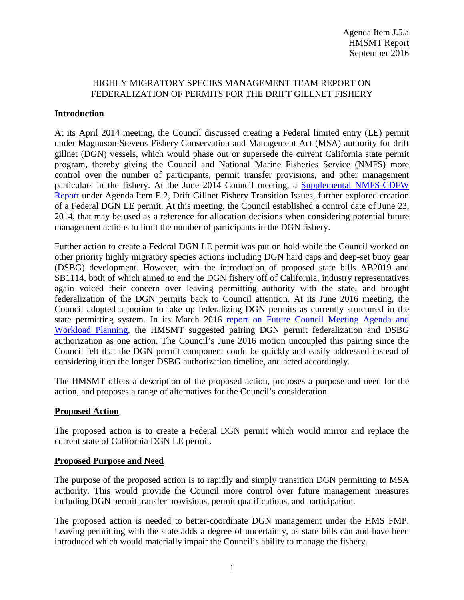## HIGHLY MIGRATORY SPECIES MANAGEMENT TEAM REPORT ON FEDERALIZATION OF PERMITS FOR THE DRIFT GILLNET FISHERY

# **Introduction**

At its April 2014 meeting, the Council discussed creating a Federal limited entry (LE) permit under Magnuson-Stevens Fishery Conservation and Management Act (MSA) authority for drift gillnet (DGN) vessels, which would phase out or supersede the current California state permit program, thereby giving the Council and National Marine Fisheries Service (NMFS) more control over the number of participants, permit transfer provisions, and other management particulars in the fishery. At the June 2014 Council meeting, a [Supplemental NMFS-CDFW](http://www.pcouncil.org/wp-content/uploads/E2b_SUP_NMFS-CDFW_Rpt_JUNE2014BB.pdf)  [Report](http://www.pcouncil.org/wp-content/uploads/E2b_SUP_NMFS-CDFW_Rpt_JUNE2014BB.pdf) under Agenda Item E.2, Drift Gillnet Fishery Transition Issues, further explored creation of a Federal DGN LE permit. At this meeting, the Council established a control date of June 23, 2014, that may be used as a reference for allocation decisions when considering potential future management actions to limit the number of participants in the DGN fishery.

Further action to create a Federal DGN LE permit was put on hold while the Council worked on other priority highly migratory species actions including DGN hard caps and deep-set buoy gear (DSBG) development. However, with the introduction of proposed state bills AB2019 and SB1114, both of which aimed to end the DGN fishery off of California, industry representatives again voiced their concern over leaving permitting authority with the state, and brought federalization of the DGN permits back to Council attention. At its June 2016 meeting, the Council adopted a motion to take up federalizing DGN permits as currently structured in the state permitting system. In its March 2016 [report on Future Council Meeting Agenda and](http://www.pcouncil.org/wp-content/uploads/2016/03/I3a_Sup_HMSMT_Rpt_MAR2016BB.pdf)  [Workload Planning,](http://www.pcouncil.org/wp-content/uploads/2016/03/I3a_Sup_HMSMT_Rpt_MAR2016BB.pdf) the HMSMT suggested pairing DGN permit federalization and DSBG authorization as one action. The Council's June 2016 motion uncoupled this pairing since the Council felt that the DGN permit component could be quickly and easily addressed instead of considering it on the longer DSBG authorization timeline, and acted accordingly.

The HMSMT offers a description of the proposed action, proposes a purpose and need for the action, and proposes a range of alternatives for the Council's consideration.

### **Proposed Action**

The proposed action is to create a Federal DGN permit which would mirror and replace the current state of California DGN LE permit.

### **Proposed Purpose and Need**

The purpose of the proposed action is to rapidly and simply transition DGN permitting to MSA authority. This would provide the Council more control over future management measures including DGN permit transfer provisions, permit qualifications, and participation.

The proposed action is needed to better-coordinate DGN management under the HMS FMP. Leaving permitting with the state adds a degree of uncertainty, as state bills can and have been introduced which would materially impair the Council's ability to manage the fishery.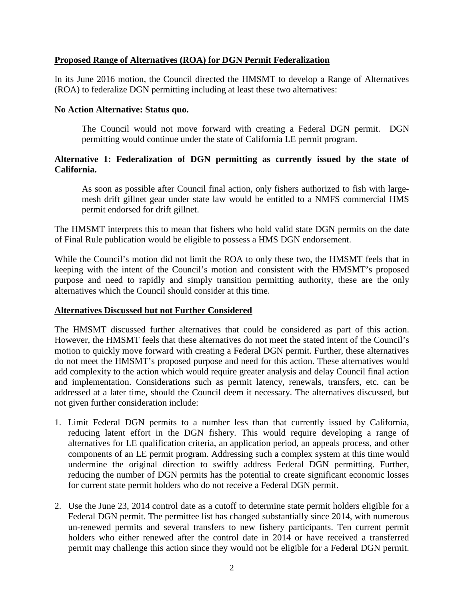## **Proposed Range of Alternatives (ROA) for DGN Permit Federalization**

In its June 2016 motion, the Council directed the HMSMT to develop a Range of Alternatives (ROA) to federalize DGN permitting including at least these two alternatives:

### **No Action Alternative: Status quo.**

The Council would not move forward with creating a Federal DGN permit. DGN permitting would continue under the state of California LE permit program.

## **Alternative 1: Federalization of DGN permitting as currently issued by the state of California.**

As soon as possible after Council final action, only fishers authorized to fish with largemesh drift gillnet gear under state law would be entitled to a NMFS commercial HMS permit endorsed for drift gillnet.

The HMSMT interprets this to mean that fishers who hold valid state DGN permits on the date of Final Rule publication would be eligible to possess a HMS DGN endorsement.

While the Council's motion did not limit the ROA to only these two, the HMSMT feels that in keeping with the intent of the Council's motion and consistent with the HMSMT's proposed purpose and need to rapidly and simply transition permitting authority, these are the only alternatives which the Council should consider at this time.

### **Alternatives Discussed but not Further Considered**

The HMSMT discussed further alternatives that could be considered as part of this action. However, the HMSMT feels that these alternatives do not meet the stated intent of the Council's motion to quickly move forward with creating a Federal DGN permit. Further, these alternatives do not meet the HMSMT's proposed purpose and need for this action. These alternatives would add complexity to the action which would require greater analysis and delay Council final action and implementation. Considerations such as permit latency, renewals, transfers, etc. can be addressed at a later time, should the Council deem it necessary. The alternatives discussed, but not given further consideration include:

- 1. Limit Federal DGN permits to a number less than that currently issued by California, reducing latent effort in the DGN fishery. This would require developing a range of alternatives for LE qualification criteria, an application period, an appeals process, and other components of an LE permit program. Addressing such a complex system at this time would undermine the original direction to swiftly address Federal DGN permitting. Further, reducing the number of DGN permits has the potential to create significant economic losses for current state permit holders who do not receive a Federal DGN permit.
- 2. Use the June 23, 2014 control date as a cutoff to determine state permit holders eligible for a Federal DGN permit. The permittee list has changed substantially since 2014, with numerous un-renewed permits and several transfers to new fishery participants. Ten current permit holders who either renewed after the control date in 2014 or have received a transferred permit may challenge this action since they would not be eligible for a Federal DGN permit.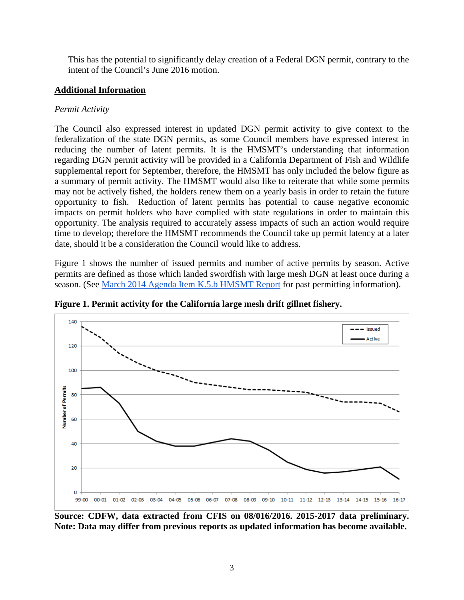This has the potential to significantly delay creation of a Federal DGN permit, contrary to the intent of the Council's June 2016 motion.

# **Additional Information**

# *Permit Activity*

The Council also expressed interest in updated DGN permit activity to give context to the federalization of the state DGN permits, as some Council members have expressed interest in reducing the number of latent permits. It is the HMSMT's understanding that information regarding DGN permit activity will be provided in a California Department of Fish and Wildlife supplemental report for September, therefore, the HMSMT has only included the below figure as a summary of permit activity. The HMSMT would also like to reiterate that while some permits may not be actively fished, the holders renew them on a yearly basis in order to retain the future opportunity to fish. Reduction of latent permits has potential to cause negative economic impacts on permit holders who have complied with state regulations in order to maintain this opportunity. The analysis required to accurately assess impacts of such an action would require time to develop; therefore the HMSMT recommends the Council take up permit latency at a later date, should it be a consideration the Council would like to address.

Figure 1 shows the number of issued permits and number of active permits by season. Active permits are defined as those which landed swordfish with large mesh DGN at least once during a season. (See [March 2014 Agenda Item K.5.b HMSMT Report](http://www.pcouncil.org/wp-content/uploads/K5b_HMSMT_DGN_MAR2014BB.pdf) for past permitting information).



**Figure 1. Permit activity for the California large mesh drift gillnet fishery.** 

**Source: CDFW, data extracted from CFIS on 08/016/2016. 2015-2017 data preliminary. Note: Data may differ from previous reports as updated information has become available.**